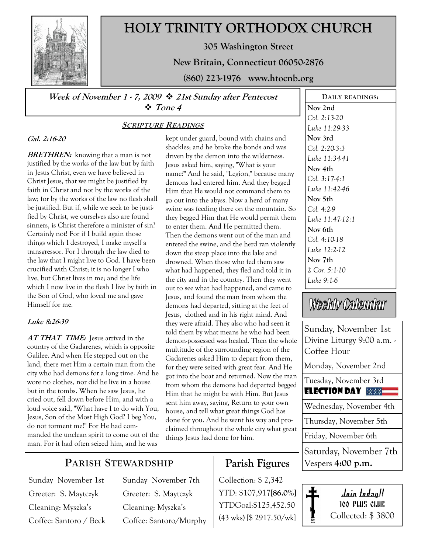

# HOLY TRINITY ORTHODOX CHURCH

305 Washington Street

New Britain, Connecticut 06050-2876

(860) 223-1976 www.htocnb.org

Week of November 1 - 7, 2009  $\div$  21st Sunday after Pentecost Tone 4

# Gal. 2:16-20

**BRETHREN:** knowing that a man is not justified by the works of the law but by faith in Jesus Christ, even we have believed in Christ Jesus, that we might be justified by faith in Christ and not by the works of the law; for by the works of the law no flesh shall be justified. But if, while we seek to be justified by Christ, we ourselves also are found sinners, is Christ therefore a minister of sin? Certainly not! For if I build again those things which I destroyed, I make myself a transgressor. For I through the law died to the law that I might live to God. I have been crucified with Christ; it is no longer I who live, but Christ lives in me; and the life which I now live in the flesh I live by faith in the Son of God, who loved me and gave Himself for me.

#### Luke 8:26-39

AT THAT TIME: Jesus arrived in the country of the Gadarenes, which is opposite Galilee. And when He stepped out on the land, there met Him a certain man from the city who had demons for a long time. And he wore no clothes, nor did he live in a house but in the tombs. When he saw Jesus, he cried out, fell down before Him, and with a loud voice said, "What have I to do with You, Jesus, Son of the Most High God? I beg You, do not torment me!" For He had commanded the unclean spirit to come out of the man. For it had often seized him, and he was

### SCRIPTURE READINGS

kept under guard, bound with chains and shackles; and he broke the bonds and was driven by the demon into the wilderness. Jesus asked him, saying, "What is your name?" And he said, "Legion," because many demons had entered him. And they begged Him that He would not command them to go out into the abyss. Now a herd of many swine was feeding there on the mountain. So they begged Him that He would permit them to enter them. And He permitted them. Then the demons went out of the man and entered the swine, and the herd ran violently down the steep place into the lake and drowned. When those who fed them saw what had happened, they fled and told it in the city and in the country. Then they went out to see what had happened, and came to Jesus, and found the man from whom the demons had departed, sitting at the feet of Jesus, clothed and in his right mind. And they were afraid. They also who had seen it told them by what means he who had been demon-possessed was healed. Then the whole multitude of the surrounding region of the Gadarenes asked Him to depart from them, for they were seized with great fear. And He got into the boat and returned. Now the man from whom the demons had departed begged Him that he might be with Him. But Jesus sent him away, saying, Return to your own house, and tell what great things God has done for you. And he went his way and proclaimed throughout the whole city what great things Jesus had done for him.

Nov 2nd Col. 2:13-20 Luke 11:29-33 Nov 3rd Col. 2:20-3:3 Luke 11:34-41 Nov 4th Col. 3:17-4:1 Luke 11:42-46 Nov 5th Col. 4:2-9 Luke 11:47-12:1 Nov 6th Col. 4:10-18 Luke 12:2-12 Nov 7th 2 Cor. 5:1-10 Luke 9:1-6

DAILY READINGS:

# Weekly Calendar

Sunday, November 1st Divine Liturgy 9:00 a.m. - Coffee Hour

Monday, November 2nd

Tuesday, November 3rd

Election day

Wednesday, November 4th

Thursday, November 5th

Friday, November 6th

Saturday, November 7th Vespers 4:00 p.m.

# Join today!! 100 PLUS CLUB Collected: \$ 3800

## PARISH STEWARDSHIP

Sunday November 1st Greeter: S. Maytczyk Cleaning: Myszka's Coffee: Santoro / Beck Sunday November 7th Greeter: S. Maytczyk Cleaning: Myszka's Coffee: Santoro/Murphy

# Parish Figures

Collection: \$ 2,342 YTD: \$107,917[86.0%] YTDGoal:\$125,452.50 (43 wks) [\$ 2917.50/wk]